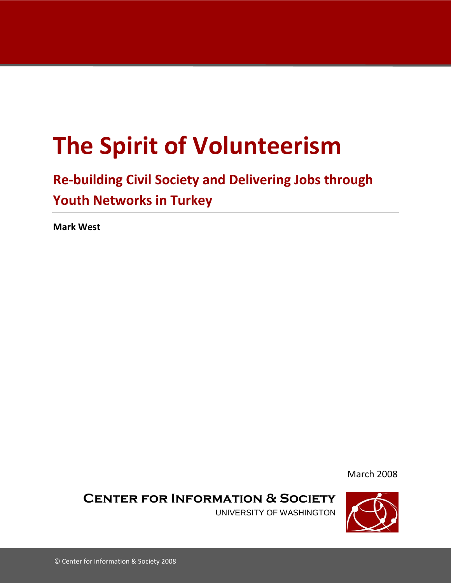# **The Spirit of Volunteerism**

## **Re-building Civil Society and Delivering Jobs through Youth Networks in Turkey**

**Mark West**

March 2008

**Center for Information & Society**

UNIVERSITY OF WASHINGTON

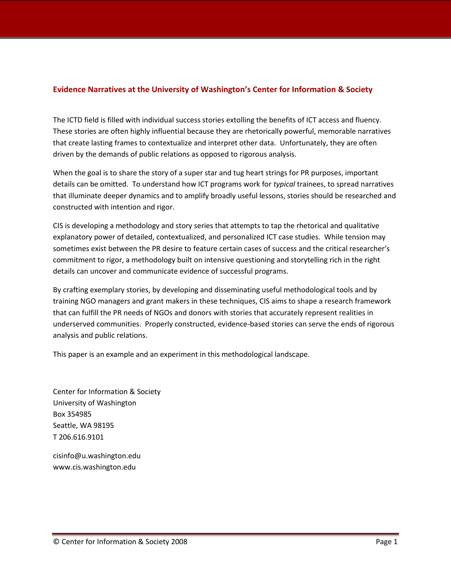#### **Evidence Narratives at the University of Washington's Center for Information & Society**

The ICTD field is filled with individual success stories extolling the benefits of ICT access and fluency. These stories are often highly influential because they are rhetorically powerful, memorable narratives that create lasting frames to contextualize and interpret other data. Unfortunately, they are often driven by the demands of public relations as opposed to rigorous analysis.

When the goal is to share the story of a super star and tug heart strings for PR purposes, important details can be omitted. To understand how ICT programs work for *typical* trainees, to spread narratives that illuminate deeper dynamics and to amplify broadly useful lessons, stories should be researched and constructed with intention and rigor.

CIS is developing a methodology and story series that attempts to tap the rhetorical and qualitative explanatory power of detailed, contextualized, and personalized ICT case studies. While tension may sometimes exist between the PR desire to feature certain cases of success and the critical researcher's commitment to rigor, a methodology built on intensive questioning and storytelling rich in the right details can uncover and communicate evidence of successful programs.

By crafting exemplary stories, by developing and disseminating useful methodological tools and by training NGO managers and grant makers in these techniques, CIS aims to shape a research framework that can fulfill the PR needs of NGOs and donors with stories that accurately represent realities in underserved communities. Properly constructed, evidence-based stories can serve the ends of rigorous analysis and public relations.

This paper is an example and an experiment in this methodological landscape.

Center for Information & Society University of Washington Box 354985 Seattle, WA 98195 T 206.616.9101

cisinfo@u.washington.edu www.cis.washington.edu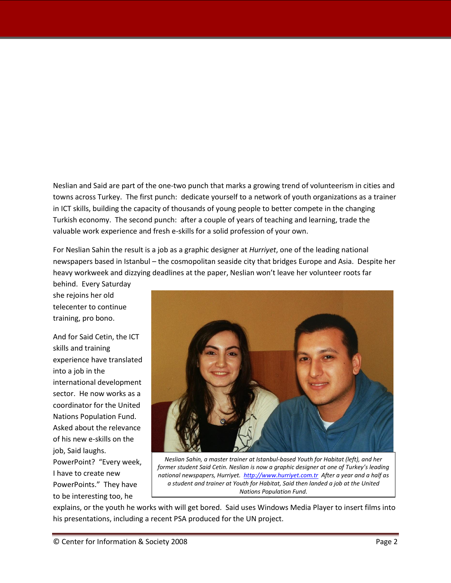Neslian and Said are part of the one-two punch that marks a growing trend of volunteerism in cities and towns across Turkey. The first punch: dedicate yourself to a network of youth organizations as a trainer in ICT skills, building the capacity of thousands of young people to better compete in the changing Turkish economy. The second punch: after a couple of years of teaching and learning, trade the valuable work experience and fresh e-skills for a solid profession of your own.

For Neslian Sahin the result is a job as a graphic designer at *Hurriyet*, one of the leading national newspapers based in Istanbul – the cosmopolitan seaside city that bridges Europe and Asia. Despite her heavy workweek and dizzying deadlines at the paper, Neslian won't leave her volunteer roots far

behind. Every Saturday she rejoins her old telecenter to continue training, pro bono.

And for Said Cetin, the ICT skills and training experience have translated into a job in the international development sector. He now works as a coordinator for the United Nations Population Fund. Asked about the relevance of his new e-skills on the job, Said laughs. PowerPoint? "Every week, I have to create new

PowerPoints." They have to be interesting too, he



*Neslian Sahin, a master trainer at Istanbul-based Youth for Habitat (left), and her former student Said Cetin. Neslian is now a graphic designer at one of Turkey's leading national newspapers, Hurriyet. [http://www.hurriyet.com.tr](http://www.hurriyet.com.tr/) After a year and a half as a student and trainer at Youth for Habitat, Said then landed a job at the United Nations Population Fund.*

explains, or the youth he works with will get bored. Said uses Windows Media Player to insert films into his presentations, including a recent PSA produced for the UN project.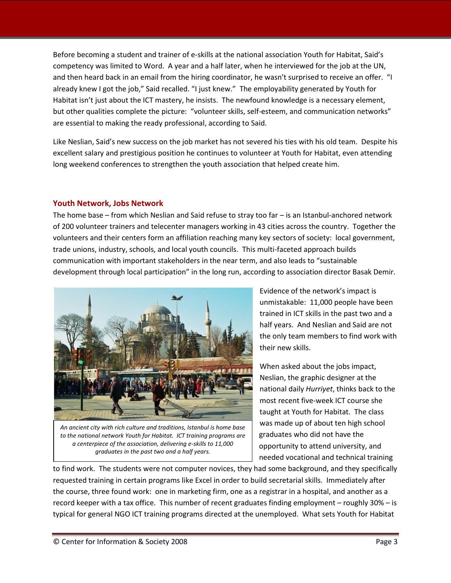Before becoming a student and trainer of e-skills at the national association Youth for Habitat, Said's competency was limited to Word. A year and a half later, when he interviewed for the job at the UN, and then heard back in an email from the hiring coordinator, he wasn't surprised to receive an offer. "I already knew I got the job," Said recalled. "I just knew." The employability generated by Youth for Habitat isn't just about the ICT mastery, he insists. The newfound knowledge is a necessary element, but other qualities complete the picture: "volunteer skills, self-esteem, and communication networks" are essential to making the ready professional, according to Said.

Like Neslian, Said's new success on the job market has not severed his ties with his old team. Despite his excellent salary and prestigious position he continues to volunteer at Youth for Habitat, even attending long weekend conferences to strengthen the youth association that helped create him.

#### **Youth Network, Jobs Network**

The home base – from which Neslian and Said refuse to stray too far – is an Istanbul-anchored network of 200 volunteer trainers and telecenter managers working in 43 cities across the country. Together the volunteers and their centers form an affiliation reaching many key sectors of society: local government, trade unions, industry, schools, and local youth councils. This multi-faceted approach builds communication with important stakeholders in the near term, and also leads to "sustainable development through local participation" in the long run, according to association director Basak Demir.



*An ancient city with rich culture and traditions, Istanbul is home base to the national network Youth for Habitat. ICT training programs are a centerpiece of the association, delivering e-skills to 11,000 graduates in the past two and a half years.*

Evidence of the network's impact is unmistakable: 11,000 people have been trained in ICT skills in the past two and a half years. And Neslian and Said are not the only team members to find work with their new skills.

When asked about the jobs impact, Neslian, the graphic designer at the national daily *Hurriyet*, thinks back to the most recent five-week ICT course she taught at Youth for Habitat. The class was made up of about ten high school graduates who did not have the opportunity to attend university, and needed vocational and technical training

to find work. The students were not computer novices, they had some background, and they specifically requested training in certain programs like Excel in order to build secretarial skills. Immediately after the course, three found work: one in marketing firm, one as a registrar in a hospital, and another as a record keeper with a tax office. This number of recent graduates finding employment – roughly 30% – is typical for general NGO ICT training programs directed at the unemployed. What sets Youth for Habitat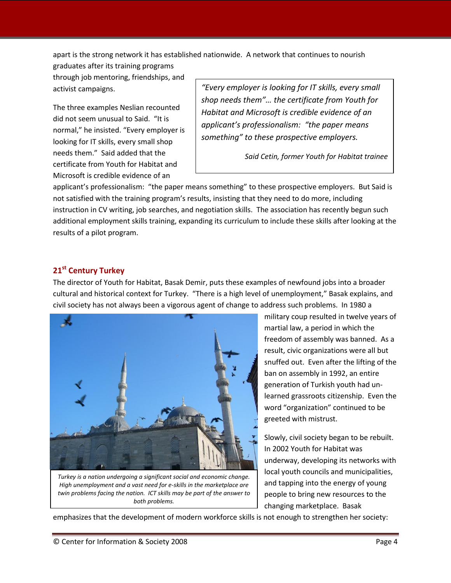apart is the strong network it has established nationwide. A network that continues to nourish

graduates after its training programs through job mentoring, friendships, and activist campaigns.

The three examples Neslian recounted did not seem unusual to Said. "It is normal," he insisted. "Every employer is looking for IT skills, every small shop needs them." Said added that the certificate from Youth for Habitat and Microsoft is credible evidence of an

*"Every employer is looking for IT skills, every small shop needs them"… the certificate from Youth for Habitat and Microsoft is credible evidence of an applicant's professionalism: "the paper means something" to these prospective employers.*

*Said Cetin, former Youth for Habitat trainee* 

applicant's professionalism: "the paper means something" to these prospective employers. But Said is not satisfied with the training program's results, insisting that they need to do more, including instruction in CV writing, job searches, and negotiation skills. The association has recently begun such additional employment skills training, expanding its curriculum to include these skills after looking at the results of a pilot program.

### **21st Century Turkey**

The director of Youth for Habitat, Basak Demir, puts these examples of newfound jobs into a broader cultural and historical context for Turkey. "There is a high level of unemployment," Basak explains, and civil society has not always been a vigorous agent of change to address such problems. In 1980 a



*Turkey is a nation undergoing a significant social and economic change. High unemployment and a vast need for e-skills in the marketplace are twin problems facing the nation. ICT skills may be part of the answer to both problems.*

military coup resulted in twelve years of martial law, a period in which the freedom of assembly was banned. As a result, civic organizations were all but snuffed out. Even after the lifting of the ban on assembly in 1992, an entire generation of Turkish youth had unlearned grassroots citizenship. Even the word "organization" continued to be greeted with mistrust.

Slowly, civil society began to be rebuilt. In 2002 Youth for Habitat was underway, developing its networks with local youth councils and municipalities, and tapping into the energy of young people to bring new resources to the changing marketplace. Basak

emphasizes that the development of modern workforce skills is not enough to strengthen her society: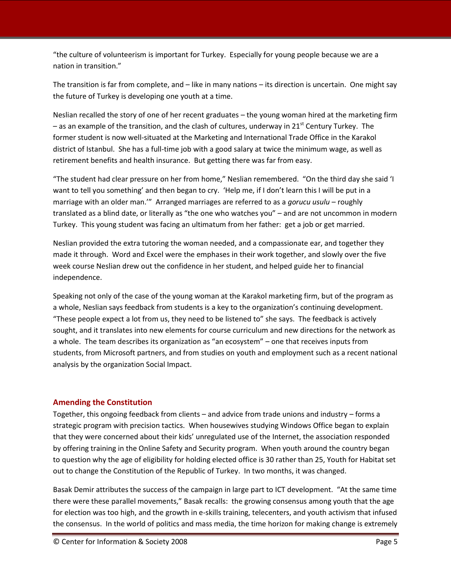"the culture of volunteerism is important for Turkey. Especially for young people because we are a nation in transition."

The transition is far from complete, and – like in many nations – its direction is uncertain. One might say the future of Turkey is developing one youth at a time.

Neslian recalled the story of one of her recent graduates – the young woman hired at the marketing firm – as an example of the transition, and the clash of cultures, underway in 21<sup>st</sup> Century Turkey. The former student is now well-situated at the Marketing and International Trade Office in the Karakol district of Istanbul. She has a full-time job with a good salary at twice the minimum wage, as well as retirement benefits and health insurance. But getting there was far from easy.

"The student had clear pressure on her from home," Neslian remembered. "On the third day she said 'I want to tell you something' and then began to cry. 'Help me, if I don't learn this I will be put in a marriage with an older man.'" Arranged marriages are referred to as a *gorucu usulu* – roughly translated as a blind date, or literally as "the one who watches you" – and are not uncommon in modern Turkey. This young student was facing an ultimatum from her father: get a job or get married.

Neslian provided the extra tutoring the woman needed, and a compassionate ear, and together they made it through. Word and Excel were the emphases in their work together, and slowly over the five week course Neslian drew out the confidence in her student, and helped guide her to financial independence.

Speaking not only of the case of the young woman at the Karakol marketing firm, but of the program as a whole, Neslian says feedback from students is a key to the organization's continuing development. "These people expect a lot from us, they need to be listened to" she says. The feedback is actively sought, and it translates into new elements for course curriculum and new directions for the network as a whole. The team describes its organization as "an ecosystem" – one that receives inputs from students, from Microsoft partners, and from studies on youth and employment such as a recent national analysis by the organization Social Impact.

#### **Amending the Constitution**

Together, this ongoing feedback from clients – and advice from trade unions and industry – forms a strategic program with precision tactics. When housewives studying Windows Office began to explain that they were concerned about their kids' unregulated use of the Internet, the association responded by offering training in the Online Safety and Security program. When youth around the country began to question why the age of eligibility for holding elected office is 30 rather than 25, Youth for Habitat set out to change the Constitution of the Republic of Turkey. In two months, it was changed.

Basak Demir attributes the success of the campaign in large part to ICT development. "At the same time there were these parallel movements," Basak recalls: the growing consensus among youth that the age for election was too high, and the growth in e-skills training, telecenters, and youth activism that infused the consensus. In the world of politics and mass media, the time horizon for making change is extremely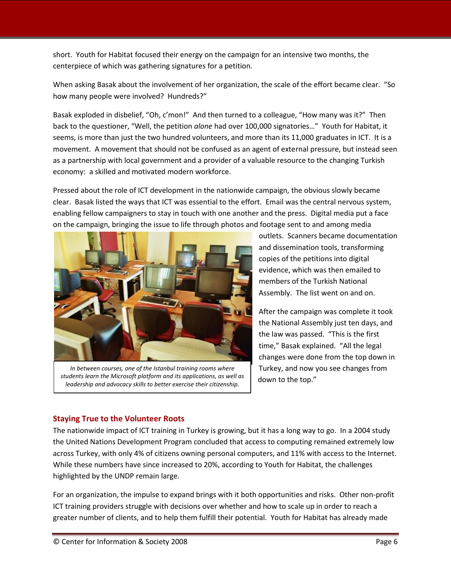short. Youth for Habitat focused their energy on the campaign for an intensive two months, the centerpiece of which was gathering signatures for a petition.

When asking Basak about the involvement of her organization, the scale of the effort became clear. "So how many people were involved? Hundreds?"

Basak exploded in disbelief, "Oh, c'mon!" And then turned to a colleague, "How many was it?" Then back to the questioner, "Well, the petition *alone* had over 100,000 signatories…" Youth for Habitat, it seems, is more than just the two hundred volunteers, and more than its 11,000 graduates in ICT. It is a movement. A movement that should not be confused as an agent of external pressure, but instead seen as a partnership with local government and a provider of a valuable resource to the changing Turkish economy: a skilled and motivated modern workforce.

Pressed about the role of ICT development in the nationwide campaign, the obvious slowly became clear. Basak listed the ways that ICT was essential to the effort. Email was the central nervous system, enabling fellow campaigners to stay in touch with one another and the press. Digital media put a face on the campaign, bringing the issue to life through photos and footage sent to and among media



*In between courses, one of the Istanbul training rooms where students learn the Microsoft platform and its applications, as well as leadership and advocacy skills to better exercise their citizenship.*

outlets. Scanners became documentation and dissemination tools, transforming copies of the petitions into digital evidence, which was then emailed to members of the Turkish National Assembly. The list went on and on.

After the campaign was complete it took the National Assembly just ten days, and the law was passed. "This is the first time," Basak explained. "All the legal changes were done from the top down in Turkey, and now you see changes from down to the top."

#### **Staying True to the Volunteer Roots**

The nationwide impact of ICT training in Turkey is growing, but it has a long way to go. In a 2004 study the United Nations Development Program concluded that access to computing remained extremely low across Turkey, with only 4% of citizens owning personal computers, and 11% with access to the Internet. While these numbers have since increased to 20%, according to Youth for Habitat, the challenges highlighted by the UNDP remain large.

For an organization, the impulse to expand brings with it both opportunities and risks. Other non-profit ICT training providers struggle with decisions over whether and how to scale up in order to reach a greater number of clients, and to help them fulfill their potential. Youth for Habitat has already made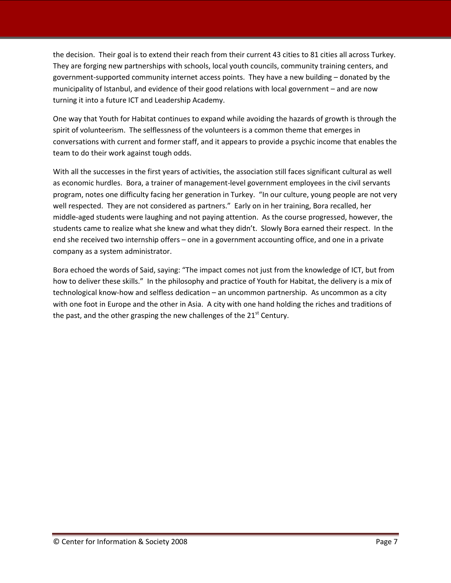the decision. Their goal is to extend their reach from their current 43 cities to 81 cities all across Turkey. They are forging new partnerships with schools, local youth councils, community training centers, and government-supported community internet access points. They have a new building – donated by the municipality of Istanbul, and evidence of their good relations with local government – and are now turning it into a future ICT and Leadership Academy.

One way that Youth for Habitat continues to expand while avoiding the hazards of growth is through the spirit of volunteerism. The selflessness of the volunteers is a common theme that emerges in conversations with current and former staff, and it appears to provide a psychic income that enables the team to do their work against tough odds.

With all the successes in the first years of activities, the association still faces significant cultural as well as economic hurdles. Bora, a trainer of management-level government employees in the civil servants program, notes one difficulty facing her generation in Turkey. "In our culture, young people are not very well respected. They are not considered as partners." Early on in her training, Bora recalled, her middle-aged students were laughing and not paying attention. As the course progressed, however, the students came to realize what she knew and what they didn't. Slowly Bora earned their respect. In the end she received two internship offers – one in a government accounting office, and one in a private company as a system administrator.

Bora echoed the words of Said, saying: "The impact comes not just from the knowledge of ICT, but from how to deliver these skills." In the philosophy and practice of Youth for Habitat, the delivery is a mix of technological know-how and selfless dedication – an uncommon partnership. As uncommon as a city with one foot in Europe and the other in Asia. A city with one hand holding the riches and traditions of the past, and the other grasping the new challenges of the  $21<sup>st</sup>$  Century.